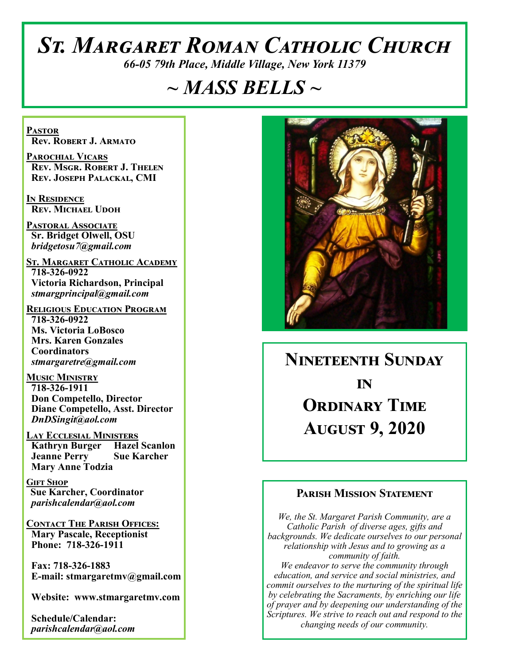# *St. Margaret Roman Catholic Church*

*66-05 79th Place, Middle Village, New York 11379*

# *~ MASS BELLS ~*

**Pastor Rev. Robert J. Armato**

**Parochial Vicars Rev. Msgr. Robert J. Thelen Rev. Joseph Palackal, CMI**

**In Residence Rev. Michael Udoh**

**Pastoral Associate Sr. Bridget Olwell, OSU**  *bridgetosu7@gmail.com*

**St. Margaret Catholic Academy 718-326-0922 Victoria Richardson, Principal**  *stmargprincipal@gmail.com*

**Religious Education Program 718-326-0922 Ms. Victoria LoBosco Mrs. Karen Gonzales Coordinators** *stmargaretre@gmail.com*

**Music Ministry 718-326-1911 Don Competello, Director Diane Competello, Asst. Director** *DnDSingit@aol.com*

**Lay Ecclesial Ministers Kathryn Burger Hazel Scanlon Jeanne Perry Sue Karcher Mary Anne Todzia**

**Gift Shop Sue Karcher, Coordinator** *parishcalendar@aol.com*

**Contact The Parish Offices: Mary Pascale, Receptionist Phone: 718-326-1911** 

 **Fax: 718-326-1883 E-mail: stmargaretmv@gmail.com**

 **Website: www.stmargaretmv.com**

 **Schedule/Calendar:** *parishcalendar@aol.com* 



# **Nineteenth Sunday in Ordinary Time August 9, 2020**

## **Parish Mission Statement**

*We, the St. Margaret Parish Community, are a Catholic Parish of diverse ages, gifts and backgrounds. We dedicate ourselves to our personal relationship with Jesus and to growing as a community of faith. We endeavor to serve the community through education, and service and social ministries, and commit ourselves to the nurturing of the spiritual life by celebrating the Sacraments, by enriching our life of prayer and by deepening our understanding of the Scriptures. We strive to reach out and respond to the changing needs of our community.*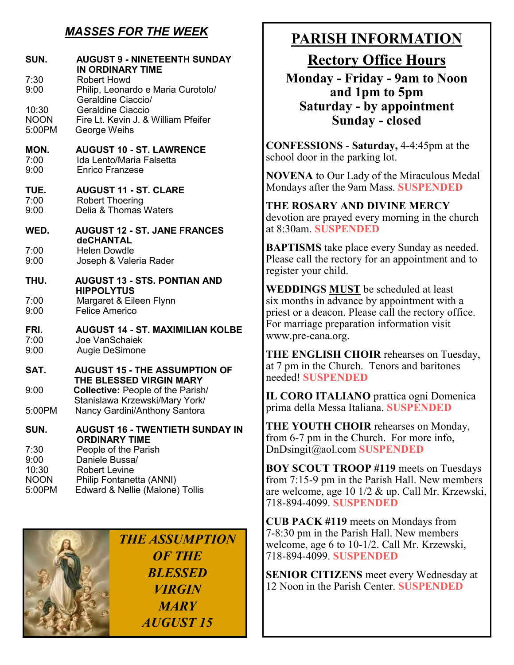# *MASSES FOR THE WEEK*

| SUN.<br>7:30<br>9:00                           | <b>AUGUST 9 - NINETEENTH SUNDAY</b><br>IN ORDINARY TIME<br><b>Robert Howd</b><br>Philip, Leonardo e Maria Curotolo/           |
|------------------------------------------------|-------------------------------------------------------------------------------------------------------------------------------|
| 10:30<br><b>NOON</b><br>5:00PM                 | Geraldine Ciaccio/<br>Geraldine Ciaccio<br>Fire Lt. Kevin J. & William Pfeifer<br>George Weihs                                |
| MON.<br>7:00<br>9:00                           | <b>AUGUST 10 - ST. LAWRENCE</b><br>Ida Lento/Maria Falsetta<br>Enrico Franzese                                                |
| TUE.<br>7:00<br>9:00                           | <b>AUGUST 11 - ST. CLARE</b><br><b>Robert Thoering</b><br>Delia & Thomas Waters                                               |
| WED.                                           | <b>AUGUST 12 - ST. JANE FRANCES</b><br><b>deCHANTAL</b>                                                                       |
| 7:00<br>9:00                                   | <b>Helen Dowdle</b><br>Joseph & Valeria Rader                                                                                 |
| THU.                                           | <b>AUGUST 13 - STS. PONTIAN AND</b><br><b>HIPPOLYTUS</b>                                                                      |
| 7:00<br>9:00                                   | Margaret & Eileen Flynn<br><b>Felice Americo</b>                                                                              |
| FRI.<br>7:00<br>9:00                           | <b>AUGUST 14 - ST. MAXIMILIAN KOLBE</b><br>Joe VanSchaiek<br>Augie DeSimone                                                   |
| SAT.                                           | <b>AUGUST 15 - THE ASSUMPTION OF</b><br>THE BLESSED VIRGIN MARY                                                               |
| 9:00                                           | Collective: People of the Parish/                                                                                             |
| 5:00PM                                         | Stanislawa Krzewski/Mary York/<br>Nancy Gardini/Anthony Santora                                                               |
| SUN.                                           | <b>AUGUST 16 - TWENTIETH SUNDAY IN</b><br><b>ORDINARY TIME</b>                                                                |
| 7:30<br>9:00<br>10:30<br><b>NOON</b><br>5:00PM | People of the Parish<br>Daniele Bussa/<br><b>Robert Levine</b><br>Philip Fontanetta (ANNI)<br>Edward & Nellie (Malone) Tollis |

*THE ASSUMPTION OF THE BLESSED VIRGIN MARY AUGUST 15*

# **PARISH INFORMATION**

**Rectory Office Hours** 

**Monday - Friday - 9am to Noon and 1pm to 5pm Saturday - by appointment Sunday - closed**

**CONFESSIONS** - **Saturday,** 4-4:45pm at the school door in the parking lot.

**NOVENA** to Our Lady of the Miraculous Medal Mondays after the 9am Mass. **SUSPENDED**

**THE ROSARY AND DIVINE MERCY** devotion are prayed every morning in the church at 8:30am. **SUSPENDED**

**BAPTISMS** take place every Sunday as needed. Please call the rectory for an appointment and to register your child.

**WEDDINGS MUST** be scheduled at least six months in advance by appointment with a priest or a deacon. Please call the rectory office. For marriage preparation information visit www.pre-cana.org.

**THE ENGLISH CHOIR** rehearses on Tuesday, at 7 pm in the Church. Tenors and baritones needed! **SUSPENDED**

**IL CORO ITALIANO** prattica ogni Domenica prima della Messa Italiana. **SUSPENDED**

**THE YOUTH CHOIR** rehearses on Monday, from 6-7 pm in the Church. For more info, DnDsingit@aol.com **SUSPENDED**

**BOY SCOUT TROOP #119** meets on Tuesdays from 7:15-9 pm in the Parish Hall. New members are welcome, age 10 1/2 & up. Call Mr. Krzewski, 718-894-4099. **SUSPENDED**

**CUB PACK #119** meets on Mondays from 7-8:30 pm in the Parish Hall. New members welcome, age 6 to 10-1/2. Call Mr. Krzewski, 718-894-4099. **SUSPENDED**

**SENIOR CITIZENS** meet every Wednesday at 12 Noon in the Parish Center. **SUSPENDED**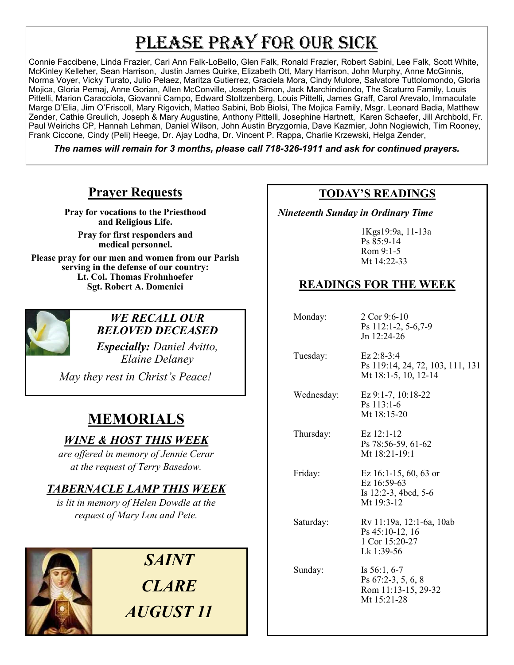# PLEASE PRAY FOR OUR SICK

Connie Faccibene, Linda Frazier, Cari Ann Falk-LoBello, Glen Falk, Ronald Frazier, Robert Sabini, Lee Falk, Scott White, McKinley Kelleher, Sean Harrison, Justin James Quirke, Elizabeth Ott, Mary Harrison, John Murphy, Anne McGinnis, Norma Voyer, Vicky Turato, Julio Pelaez, Maritza Gutierrez, Graciela Mora, Cindy Mulore, Salvatore Tuttolomondo, Gloria Mojica, Gloria Pemaj, Anne Gorian, Allen McConville, Joseph Simon, Jack Marchindiondo, The Scaturro Family, Louis Pittelli, Marion Caracciola, Giovanni Campo, Edward Stoltzenberg, Louis Pittelli, James Graff, Carol Arevalo, Immaculate Marge D'Elia, Jim O'Friscoll, Mary Rigovich, Matteo Sabini, Bob Biolsi, The Mojica Family, Msgr. Leonard Badia, Matthew Zender, Cathie Greulich, Joseph & Mary Augustine, Anthony Pittelli, Josephine Hartnett, Karen Schaefer, Jill Archbold, Fr. Paul Weirichs CP, Hannah Lehman, Daniel Wilson, John Austin Bryzgornia, Dave Kazmier, John Nogiewich, Tim Rooney, Frank Ciccone, Cindy (Peli) Heege, Dr. Ajay Lodha, Dr. Vincent P. Rappa, Charlie Krzewski, Helga Zender,

*The names will remain for 3 months, please call 718-326-1911 and ask for continued prayers.*

# **Prayer Requests**

**Pray for vocations to the Priesthood and Religious Life.** 

**Pray for first responders and medical personnel.**

**Please pray for our men and women from our Parish serving in the defense of our country: Lt. Col. Thomas Frohnhoefer Sgt. Robert A. Domenici** 



# *WE RECALL OUR BELOVED DECEASED*

*Especially: Daniel Avitto, Elaine Delaney* 

*May they rest in Christ's Peace!*

# **MEMORIALS**

# *WINE & HOST THIS WEEK*

*are offered in memory of Jennie Cerar at the request of Terry Basedow.*

# *TABERNACLE LAMP THIS WEEK*

*is lit in memory of Helen Dowdle at the request of Mary Lou and Pete.* 



*SAINT CLARE AUGUST 11*

## **TODAY'S READINGS**

 *Nineteenth Sunday in Ordinary Time*

1Kgs19:9a, 11-13a Ps 85:9-14 Rom 9:1-5 Mt 14:22-33

# **READINGS FOR THE WEEK**

| Monday:    | 2 Cor 9:6-10<br>Ps 112:1-2, 5-6, 7-9<br>Jn 12:24-26                               |
|------------|-----------------------------------------------------------------------------------|
| Tuesday:   | $Ez 2:8-3:4$<br>Ps 119:14, 24, 72, 103, 111, 131<br>Mt 18:1-5, 10, 12-14          |
| Wednesday: | Ez 9:1-7, 10:18-22<br>$Ps$ 113:1-6<br>Mt $18:15-20$                               |
| Thursday:  | $Ex 12:1-12$<br>Ps 78:56-59, 61-62<br>Mt 18:21-19:1                               |
| Friday:    | Ez $16:1-15, 60, 63$ or<br>Ez 16:59-63<br>Is $12:2-3$ , 4bcd, 5-6<br>Mt $19:3-12$ |
| Saturday:  | Rv 11:19a, 12:1-6a, 10ab<br>$Ps$ 45:10-12, 16<br>1 Cor 15:20-27<br>Lk 1:39-56     |
| Sunday:    | Is $56:1, 6-7$<br>Ps 67:2-3, 5, 6, 8<br>Rom 11:13-15, 29-32<br>Mt 15:21-28        |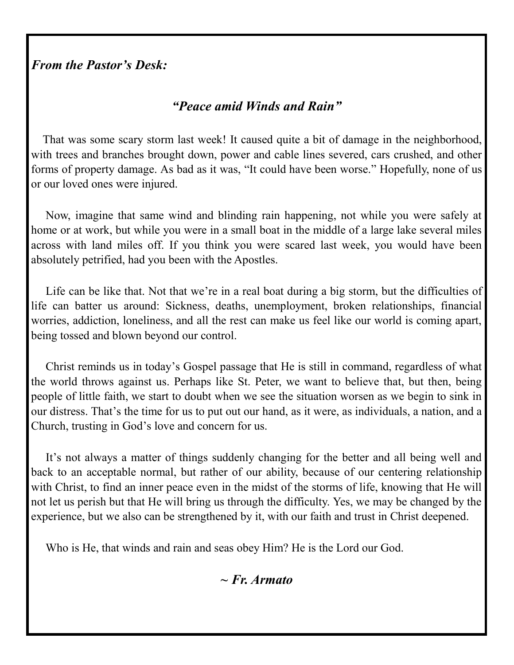# *From the Pastor's Desk:*

# *"Peace amid Winds and Rain"*

 That was some scary storm last week! It caused quite a bit of damage in the neighborhood, with trees and branches brought down, power and cable lines severed, cars crushed, and other forms of property damage. As bad as it was, "It could have been worse." Hopefully, none of us or our loved ones were injured.

 Now, imagine that same wind and blinding rain happening, not while you were safely at home or at work, but while you were in a small boat in the middle of a large lake several miles across with land miles off. If you think you were scared last week, you would have been absolutely petrified, had you been with the Apostles.

 Life can be like that. Not that we're in a real boat during a big storm, but the difficulties of life can batter us around: Sickness, deaths, unemployment, broken relationships, financial worries, addiction, loneliness, and all the rest can make us feel like our world is coming apart, being tossed and blown beyond our control.

 Christ reminds us in today's Gospel passage that He is still in command, regardless of what the world throws against us. Perhaps like St. Peter, we want to believe that, but then, being people of little faith, we start to doubt when we see the situation worsen as we begin to sink in our distress. That's the time for us to put out our hand, as it were, as individuals, a nation, and a Church, trusting in God's love and concern for us.

 It's not always a matter of things suddenly changing for the better and all being well and back to an acceptable normal, but rather of our ability, because of our centering relationship with Christ, to find an inner peace even in the midst of the storms of life, knowing that He will not let us perish but that He will bring us through the difficulty. Yes, we may be changed by the experience, but we also can be strengthened by it, with our faith and trust in Christ deepened.

Who is He, that winds and rain and seas obey Him? He is the Lord our God.

*~ Fr. Armato*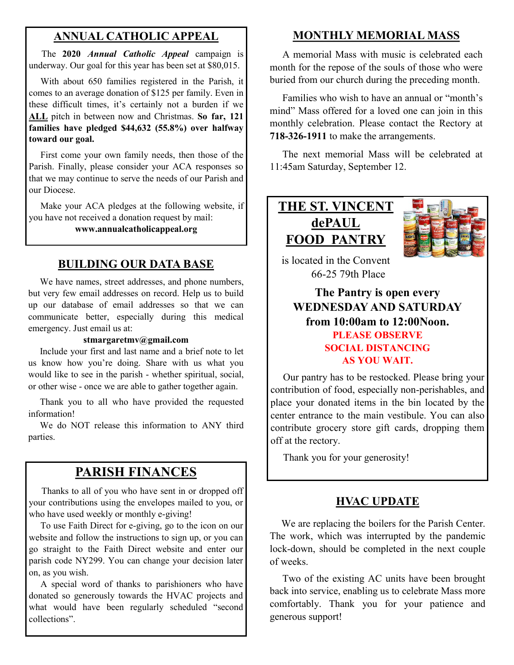# **ANNUAL CATHOLIC APPEAL**

 The **2020** *Annual Catholic Appeal* campaign is underway. Our goal for this year has been set at \$80,015.

 With about 650 families registered in the Parish, it comes to an average donation of \$125 per family. Even in these difficult times, it's certainly not a burden if we **ALL** pitch in between now and Christmas. **So far, 121 families have pledged \$44,632 (55.8%) over halfway toward our goal.**

 First come your own family needs, then those of the Parish. Finally, please consider your ACA responses so that we may continue to serve the needs of our Parish and our Diocese.

 Make your ACA pledges at the following website, if you have not received a donation request by mail:

#### **www.annualcatholicappeal.org**

### **BUILDING OUR DATA BASE**

 We have names, street addresses, and phone numbers, but very few email addresses on record. Help us to build up our database of email addresses so that we can communicate better, especially during this medical emergency. Just email us at:

#### **stmargaretmv@gmail.com**

 Include your first and last name and a brief note to let us know how you're doing. Share with us what you would like to see in the parish - whether spiritual, social, or other wise - once we are able to gather together again.

 Thank you to all who have provided the requested information!

We do NOT release this information to ANY third parties.

# **PARISH FINANCES**

 Thanks to all of you who have sent in or dropped off your contributions using the envelopes mailed to you, or who have used weekly or monthly e-giving!

 To use Faith Direct for e-giving, go to the icon on our website and follow the instructions to sign up, or you can go straight to the Faith Direct website and enter our parish code NY299. You can change your decision later on, as you wish.

 A special word of thanks to parishioners who have donated so generously towards the HVAC projects and what would have been regularly scheduled "second collections".

## **MONTHLY MEMORIAL MASS**

 A memorial Mass with music is celebrated each month for the repose of the souls of those who were buried from our church during the preceding month.

 Families who wish to have an annual or "month's mind" Mass offered for a loved one can join in this monthly celebration. Please contact the Rectory at **718-326-1911** to make the arrangements.

 The next memorial Mass will be celebrated at 11:45am Saturday, September 12.

**THE ST. VINCENT dePAUL FOOD PANTRY**



is located in the Convent 66-25 79th Place

# **The Pantry is open every WEDNESDAY AND SATURDAY from 10:00am to 12:00Noon. PLEASE OBSERVE SOCIAL DISTANCING AS YOU WAIT.**

 Our pantry has to be restocked. Please bring your contribution of food, especially non-perishables, and place your donated items in the bin located by the center entrance to the main vestibule. You can also contribute grocery store gift cards, dropping them off at the rectory.

Thank you for your generosity!

## **HVAC UPDATE**

 We are replacing the boilers for the Parish Center. The work, which was interrupted by the pandemic lock-down, should be completed in the next couple of weeks.

 Two of the existing AC units have been brought back into service, enabling us to celebrate Mass more comfortably. Thank you for your patience and generous support!